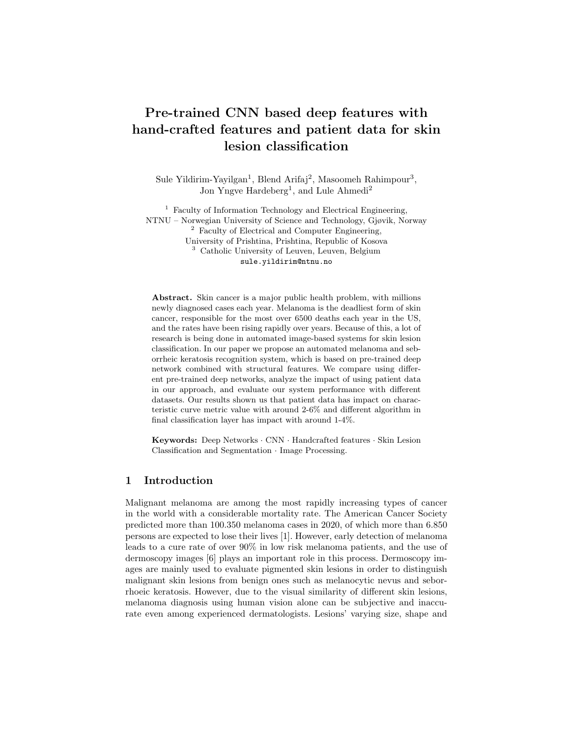# Pre-trained CNN based deep features with hand-crafted features and patient data for skin lesion classification

Sule Yildirim-Yayilgan<sup>1</sup>, Blend Arifaj<sup>2</sup>, Masoomeh Rahimpour<sup>3</sup>, Jon Yngve Hardeberg<sup>1</sup>, and Lule Ahmedi<sup>2</sup>

<sup>1</sup> Faculty of Information Technology and Electrical Engineering, NTNU – Norwegian University of Science and Technology, Gjøvik, Norway <sup>2</sup> Faculty of Electrical and Computer Engineering, University of Prishtina, Prishtina, Republic of Kosova <sup>3</sup> Catholic University of Leuven, Leuven, Belgium sule.yildirim@ntnu.no

Abstract. Skin cancer is a major public health problem, with millions newly diagnosed cases each year. Melanoma is the deadliest form of skin cancer, responsible for the most over 6500 deaths each year in the US, and the rates have been rising rapidly over years. Because of this, a lot of research is being done in automated image-based systems for skin lesion classification. In our paper we propose an automated melanoma and seborrheic keratosis recognition system, which is based on pre-trained deep network combined with structural features. We compare using different pre-trained deep networks, analyze the impact of using patient data in our approach, and evaluate our system performance with different datasets. Our results shown us that patient data has impact on characteristic curve metric value with around 2-6% and different algorithm in final classification layer has impact with around 1-4%.

Keywords: Deep Networks · CNN · Handcrafted features · Skin Lesion Classification and Segmentation · Image Processing.

## 1 Introduction

Malignant melanoma are among the most rapidly increasing types of cancer in the world with a considerable mortality rate. The American Cancer Society predicted more than 100.350 melanoma cases in 2020, of which more than 6.850 persons are expected to lose their lives [1]. However, early detection of melanoma leads to a cure rate of over 90% in low risk melanoma patients, and the use of dermoscopy images [6] plays an important role in this process. Dermoscopy images are mainly used to evaluate pigmented skin lesions in order to distinguish malignant skin lesions from benign ones such as melanocytic nevus and seborrhoeic keratosis. However, due to the visual similarity of different skin lesions, melanoma diagnosis using human vision alone can be subjective and inaccurate even among experienced dermatologists. Lesions' varying size, shape and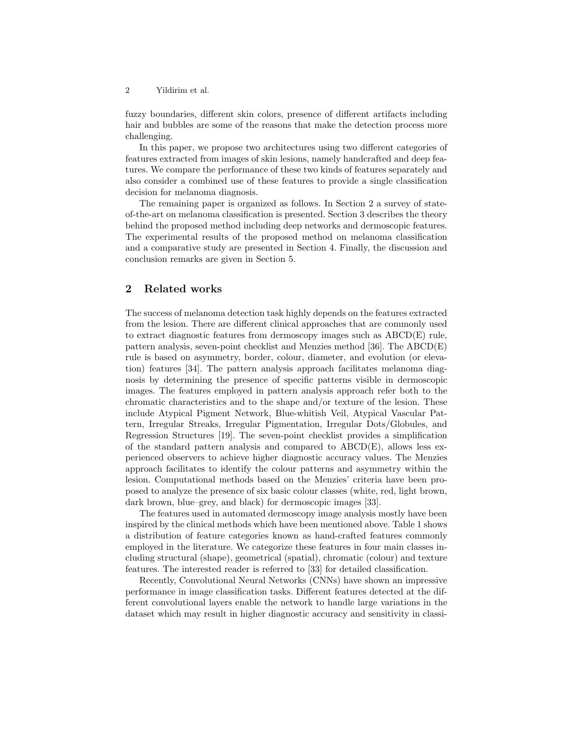fuzzy boundaries, different skin colors, presence of different artifacts including hair and bubbles are some of the reasons that make the detection process more challenging.

In this paper, we propose two architectures using two different categories of features extracted from images of skin lesions, namely handcrafted and deep features. We compare the performance of these two kinds of features separately and also consider a combined use of these features to provide a single classification decision for melanoma diagnosis.

The remaining paper is organized as follows. In Section 2 a survey of stateof-the-art on melanoma classification is presented. Section 3 describes the theory behind the proposed method including deep networks and dermoscopic features. The experimental results of the proposed method on melanoma classification and a comparative study are presented in Section 4. Finally, the discussion and conclusion remarks are given in Section 5.

# 2 Related works

The success of melanoma detection task highly depends on the features extracted from the lesion. There are different clinical approaches that are commonly used to extract diagnostic features from dermoscopy images such as ABCD(E) rule, pattern analysis, seven-point checklist and Menzies method [36]. The ABCD(E) rule is based on asymmetry, border, colour, diameter, and evolution (or elevation) features [34]. The pattern analysis approach facilitates melanoma diagnosis by determining the presence of specific patterns visible in dermoscopic images. The features employed in pattern analysis approach refer both to the chromatic characteristics and to the shape and/or texture of the lesion. These include Atypical Pigment Network, Blue-whitish Veil, Atypical Vascular Pattern, Irregular Streaks, Irregular Pigmentation, Irregular Dots/Globules, and Regression Structures [19]. The seven-point checklist provides a simplification of the standard pattern analysis and compared to  $ABCD(E)$ , allows less experienced observers to achieve higher diagnostic accuracy values. The Menzies approach facilitates to identify the colour patterns and asymmetry within the lesion. Computational methods based on the Menzies' criteria have been proposed to analyze the presence of six basic colour classes (white, red, light brown, dark brown, blue–grey, and black) for dermoscopic images [33].

The features used in automated dermoscopy image analysis mostly have been inspired by the clinical methods which have been mentioned above. Table 1 shows a distribution of feature categories known as hand-crafted features commonly employed in the literature. We categorize these features in four main classes including structural (shape), geometrical (spatial), chromatic (colour) and texture features. The interested reader is referred to [33] for detailed classification.

Recently, Convolutional Neural Networks (CNNs) have shown an impressive performance in image classification tasks. Different features detected at the different convolutional layers enable the network to handle large variations in the dataset which may result in higher diagnostic accuracy and sensitivity in classi-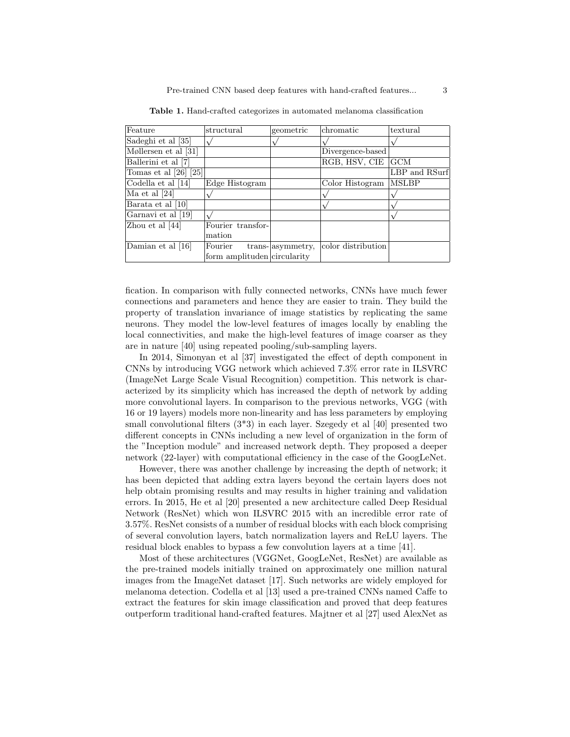| Feature                   | structural                  | geometric         | chromatic          | textural      |
|---------------------------|-----------------------------|-------------------|--------------------|---------------|
| Sadeghi et al [35]        |                             |                   |                    |               |
| Møllersen et al $[31]$    |                             |                   | Divergence-based   |               |
| Ballerini et al [7]       |                             |                   | RGB, HSV, CIE      | <b>GCM</b>    |
| Tomas et al $[26]$ $[25]$ |                             |                   |                    | LBP and RSurf |
| Codella et al [14]        | Edge Histogram              |                   | Color Histogram    | <b>MSLBP</b>  |
| Ma et al $[24]$           |                             |                   |                    |               |
| Barata et al [10]         |                             |                   |                    |               |
| Garnavi et al [19]        |                             |                   |                    |               |
| Zhou et al $[44]$         | Fourier transfor-           |                   |                    |               |
|                           | mation                      |                   |                    |               |
| Damian et al [16]         | Fourier                     | trans-lasymmetry, | color distribution |               |
|                           | form amplituden circularity |                   |                    |               |

Table 1. Hand-crafted categorizes in automated melanoma classification

fication. In comparison with fully connected networks, CNNs have much fewer connections and parameters and hence they are easier to train. They build the property of translation invariance of image statistics by replicating the same neurons. They model the low-level features of images locally by enabling the local connectivities, and make the high-level features of image coarser as they are in nature [40] using repeated pooling/sub-sampling layers.

In 2014, Simonyan et al [37] investigated the effect of depth component in CNNs by introducing VGG network which achieved 7.3% error rate in ILSVRC (ImageNet Large Scale Visual Recognition) competition. This network is characterized by its simplicity which has increased the depth of network by adding more convolutional layers. In comparison to the previous networks, VGG (with 16 or 19 layers) models more non-linearity and has less parameters by employing small convolutional filters  $(3^*3)$  in each layer. Szegedy et al [40] presented two different concepts in CNNs including a new level of organization in the form of the "Inception module" and increased network depth. They proposed a deeper network (22-layer) with computational efficiency in the case of the GoogLeNet.

However, there was another challenge by increasing the depth of network; it has been depicted that adding extra layers beyond the certain layers does not help obtain promising results and may results in higher training and validation errors. In 2015, He et al [20] presented a new architecture called Deep Residual Network (ResNet) which won ILSVRC 2015 with an incredible error rate of 3.57%. ResNet consists of a number of residual blocks with each block comprising of several convolution layers, batch normalization layers and ReLU layers. The residual block enables to bypass a few convolution layers at a time [41].

Most of these architectures (VGGNet, GoogLeNet, ResNet) are available as the pre-trained models initially trained on approximately one million natural images from the ImageNet dataset [17]. Such networks are widely employed for melanoma detection. Codella et al [13] used a pre-trained CNNs named Caffe to extract the features for skin image classification and proved that deep features outperform traditional hand-crafted features. Majtner et al [27] used AlexNet as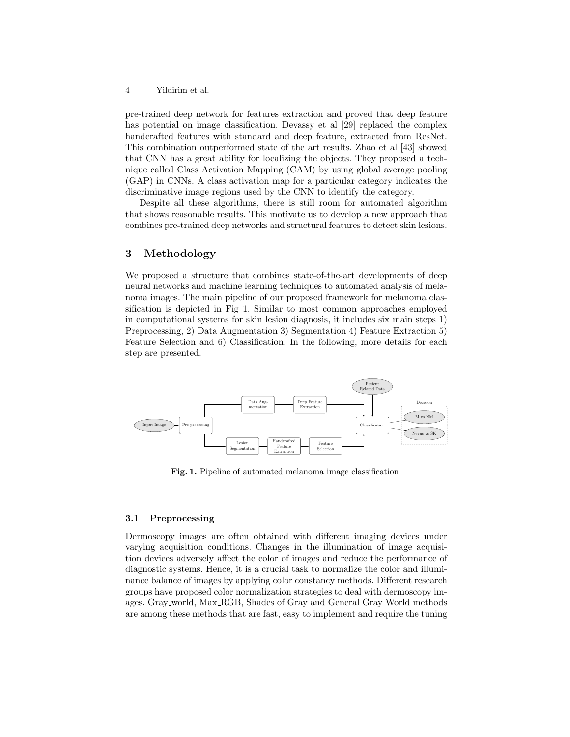pre-trained deep network for features extraction and proved that deep feature has potential on image classification. Devassy et al [29] replaced the complex handcrafted features with standard and deep feature, extracted from ResNet. This combination outperformed state of the art results. Zhao et al [43] showed that CNN has a great ability for localizing the objects. They proposed a technique called Class Activation Mapping (CAM) by using global average pooling (GAP) in CNNs. A class activation map for a particular category indicates the discriminative image regions used by the CNN to identify the category.

Despite all these algorithms, there is still room for automated algorithm that shows reasonable results. This motivate us to develop a new approach that combines pre-trained deep networks and structural features to detect skin lesions.

# 3 Methodology

We proposed a structure that combines state-of-the-art developments of deep neural networks and machine learning techniques to automated analysis of melanoma images. The main pipeline of our proposed framework for melanoma classification is depicted in Fig 1. Similar to most common approaches employed in computational systems for skin lesion diagnosis, it includes six main steps 1) Preprocessing, 2) Data Augmentation 3) Segmentation 4) Feature Extraction 5) Feature Selection and 6) Classification. In the following, more details for each step are presented.



Fig. 1. Pipeline of automated melanoma image classification

#### 3.1 Preprocessing

Dermoscopy images are often obtained with different imaging devices under varying acquisition conditions. Changes in the illumination of image acquisition devices adversely affect the color of images and reduce the performance of diagnostic systems. Hence, it is a crucial task to normalize the color and illuminance balance of images by applying color constancy methods. Different research groups have proposed color normalization strategies to deal with dermoscopy images. Gray world, Max RGB, Shades of Gray and General Gray World methods are among these methods that are fast, easy to implement and require the tuning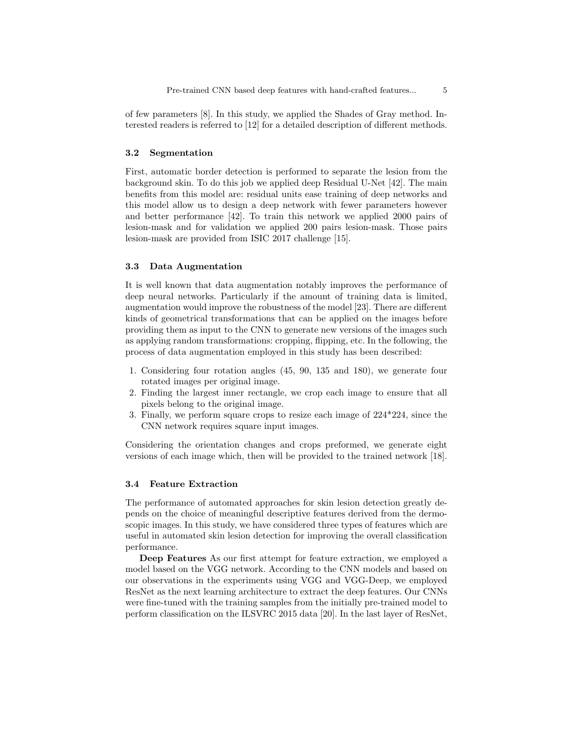of few parameters [8]. In this study, we applied the Shades of Gray method. Interested readers is referred to [12] for a detailed description of different methods.

#### 3.2 Segmentation

First, automatic border detection is performed to separate the lesion from the background skin. To do this job we applied deep Residual U-Net [42]. The main benefits from this model are: residual units ease training of deep networks and this model allow us to design a deep network with fewer parameters however and better performance [42]. To train this network we applied 2000 pairs of lesion-mask and for validation we applied 200 pairs lesion-mask. Those pairs lesion-mask are provided from ISIC 2017 challenge [15].

## 3.3 Data Augmentation

It is well known that data augmentation notably improves the performance of deep neural networks. Particularly if the amount of training data is limited, augmentation would improve the robustness of the model [23]. There are different kinds of geometrical transformations that can be applied on the images before providing them as input to the CNN to generate new versions of the images such as applying random transformations: cropping, flipping, etc. In the following, the process of data augmentation employed in this study has been described:

- 1. Considering four rotation angles (45, 90, 135 and 180), we generate four rotated images per original image.
- 2. Finding the largest inner rectangle, we crop each image to ensure that all pixels belong to the original image.
- 3. Finally, we perform square crops to resize each image of 224\*224, since the CNN network requires square input images.

Considering the orientation changes and crops preformed, we generate eight versions of each image which, then will be provided to the trained network [18].

## 3.4 Feature Extraction

The performance of automated approaches for skin lesion detection greatly depends on the choice of meaningful descriptive features derived from the dermoscopic images. In this study, we have considered three types of features which are useful in automated skin lesion detection for improving the overall classification performance.

Deep Features As our first attempt for feature extraction, we employed a model based on the VGG network. According to the CNN models and based on our observations in the experiments using VGG and VGG-Deep, we employed ResNet as the next learning architecture to extract the deep features. Our CNNs were fine-tuned with the training samples from the initially pre-trained model to perform classification on the ILSVRC 2015 data [20]. In the last layer of ResNet,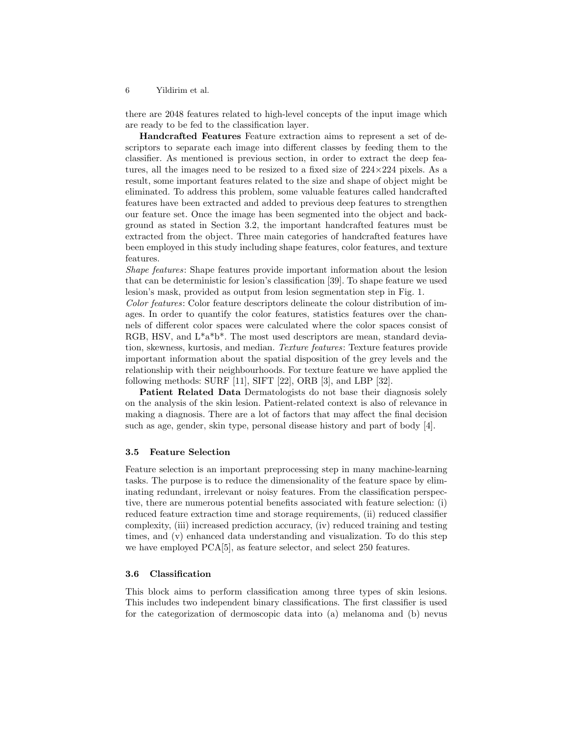there are 2048 features related to high-level concepts of the input image which are ready to be fed to the classification layer.

Handcrafted Features Feature extraction aims to represent a set of descriptors to separate each image into different classes by feeding them to the classifier. As mentioned is previous section, in order to extract the deep features, all the images need to be resized to a fixed size of  $224\times224$  pixels. As a result, some important features related to the size and shape of object might be eliminated. To address this problem, some valuable features called handcrafted features have been extracted and added to previous deep features to strengthen our feature set. Once the image has been segmented into the object and background as stated in Section 3.2, the important handcrafted features must be extracted from the object. Three main categories of handcrafted features have been employed in this study including shape features, color features, and texture features.

Shape features: Shape features provide important information about the lesion that can be deterministic for lesion's classification [39]. To shape feature we used lesion's mask, provided as output from lesion segmentation step in Fig. 1.

Color features: Color feature descriptors delineate the colour distribution of images. In order to quantify the color features, statistics features over the channels of different color spaces were calculated where the color spaces consist of RGB, HSV, and  $L^*a^*b^*$ . The most used descriptors are mean, standard deviation, skewness, kurtosis, and median. Texture features: Texture features provide important information about the spatial disposition of the grey levels and the relationship with their neighbourhoods. For texture feature we have applied the following methods: SURF [11], SIFT [22], ORB [3], and LBP [32].

Patient Related Data Dermatologists do not base their diagnosis solely on the analysis of the skin lesion. Patient-related context is also of relevance in making a diagnosis. There are a lot of factors that may affect the final decision such as age, gender, skin type, personal disease history and part of body [4].

#### 3.5 Feature Selection

Feature selection is an important preprocessing step in many machine-learning tasks. The purpose is to reduce the dimensionality of the feature space by eliminating redundant, irrelevant or noisy features. From the classification perspective, there are numerous potential benefits associated with feature selection: (i) reduced feature extraction time and storage requirements, (ii) reduced classifier complexity, (iii) increased prediction accuracy, (iv) reduced training and testing times, and (v) enhanced data understanding and visualization. To do this step we have employed PCA[5], as feature selector, and select 250 features.

#### 3.6 Classification

This block aims to perform classification among three types of skin lesions. This includes two independent binary classifications. The first classifier is used for the categorization of dermoscopic data into (a) melanoma and (b) nevus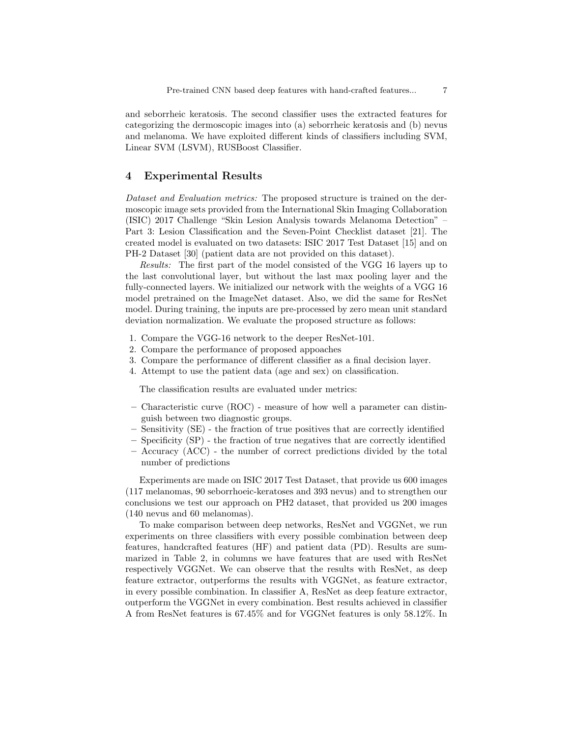and seborrheic keratosis. The second classifier uses the extracted features for categorizing the dermoscopic images into (a) seborrheic keratosis and (b) nevus and melanoma. We have exploited different kinds of classifiers including SVM, Linear SVM (LSVM), RUSBoost Classifier.

## 4 Experimental Results

Dataset and Evaluation metrics: The proposed structure is trained on the dermoscopic image sets provided from the International Skin Imaging Collaboration (ISIC) 2017 Challenge "Skin Lesion Analysis towards Melanoma Detection" – Part 3: Lesion Classification and the Seven-Point Checklist dataset [21]. The created model is evaluated on two datasets: ISIC 2017 Test Dataset [15] and on PH-2 Dataset [30] (patient data are not provided on this dataset).

Results: The first part of the model consisted of the VGG 16 layers up to the last convolutional layer, but without the last max pooling layer and the fully-connected layers. We initialized our network with the weights of a VGG 16 model pretrained on the ImageNet dataset. Also, we did the same for ResNet model. During training, the inputs are pre-processed by zero mean unit standard deviation normalization. We evaluate the proposed structure as follows:

- 1. Compare the VGG-16 network to the deeper ResNet-101.
- 2. Compare the performance of proposed appoaches
- 3. Compare the performance of different classifier as a final decision layer.
- 4. Attempt to use the patient data (age and sex) on classification.

The classification results are evaluated under metrics:

- Characteristic curve (ROC) measure of how well a parameter can distinguish between two diagnostic groups.
- Sensitivity (SE) the fraction of true positives that are correctly identified
- Specificity (SP) the fraction of true negatives that are correctly identified
- Accuracy (ACC) the number of correct predictions divided by the total number of predictions

Experiments are made on ISIC 2017 Test Dataset, that provide us 600 images (117 melanomas, 90 seborrhoeic-keratoses and 393 nevus) and to strengthen our conclusions we test our approach on PH2 dataset, that provided us 200 images (140 nevus and 60 melanomas).

To make comparison between deep networks, ResNet and VGGNet, we run experiments on three classifiers with every possible combination between deep features, handcrafted features (HF) and patient data (PD). Results are summarized in Table 2, in columns we have features that are used with ResNet respectively VGGNet. We can observe that the results with ResNet, as deep feature extractor, outperforms the results with VGGNet, as feature extractor, in every possible combination. In classifier A, ResNet as deep feature extractor, outperform the VGGNet in every combination. Best results achieved in classifier A from ResNet features is 67.45% and for VGGNet features is only 58.12%. In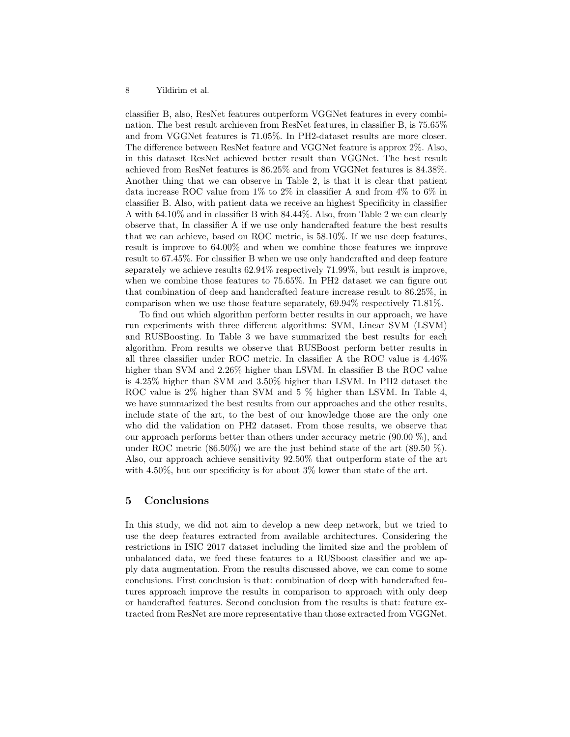classifier B, also, ResNet features outperform VGGNet features in every combination. The best result archieven from ResNet features, in classifier B, is 75.65% and from VGGNet features is 71.05%. In PH2-dataset results are more closer. The difference between ResNet feature and VGGNet feature is approx 2%. Also, in this dataset ResNet achieved better result than VGGNet. The best result achieved from ResNet features is 86.25% and from VGGNet features is 84.38%. Another thing that we can observe in Table 2, is that it is clear that patient data increase ROC value from 1% to 2% in classifier A and from 4% to 6% in classifier B. Also, with patient data we receive an highest Specificity in classifier A with 64.10% and in classifier B with 84.44%. Also, from Table 2 we can clearly observe that, In classifier A if we use only handcrafted feature the best results that we can achieve, based on ROC metric, is 58.10%. If we use deep features, result is improve to 64.00% and when we combine those features we improve result to 67.45%. For classifier B when we use only handcrafted and deep feature separately we achieve results 62.94% respectively 71.99%, but result is improve, when we combine those features to 75.65%. In PH2 dataset we can figure out that combination of deep and handcrafted feature increase result to 86.25%, in comparison when we use those feature separately, 69.94% respectively 71.81%.

To find out which algorithm perform better results in our approach, we have run experiments with three different algorithms: SVM, Linear SVM (LSVM) and RUSBoosting. In Table 3 we have summarized the best results for each algorithm. From results we observe that RUSBoost perform better results in all three classifier under ROC metric. In classifier A the ROC value is 4.46% higher than SVM and 2.26% higher than LSVM. In classifier B the ROC value is 4.25% higher than SVM and 3.50% higher than LSVM. In PH2 dataset the ROC value is 2% higher than SVM and 5 % higher than LSVM. In Table 4, we have summarized the best results from our approaches and the other results, include state of the art, to the best of our knowledge those are the only one who did the validation on PH2 dataset. From those results, we observe that our approach performs better than others under accuracy metric  $(90.00\%)$ , and under ROC metric  $(86.50\%)$  we are the just behind state of the art  $(89.50\%)$ . Also, our approach achieve sensitivity 92.50% that outperform state of the art with 4.50%, but our specificity is for about  $3\%$  lower than state of the art.

# 5 Conclusions

In this study, we did not aim to develop a new deep network, but we tried to use the deep features extracted from available architectures. Considering the restrictions in ISIC 2017 dataset including the limited size and the problem of unbalanced data, we feed these features to a RUSboost classifier and we apply data augmentation. From the results discussed above, we can come to some conclusions. First conclusion is that: combination of deep with handcrafted features approach improve the results in comparison to approach with only deep or handcrafted features. Second conclusion from the results is that: feature extracted from ResNet are more representative than those extracted from VGGNet.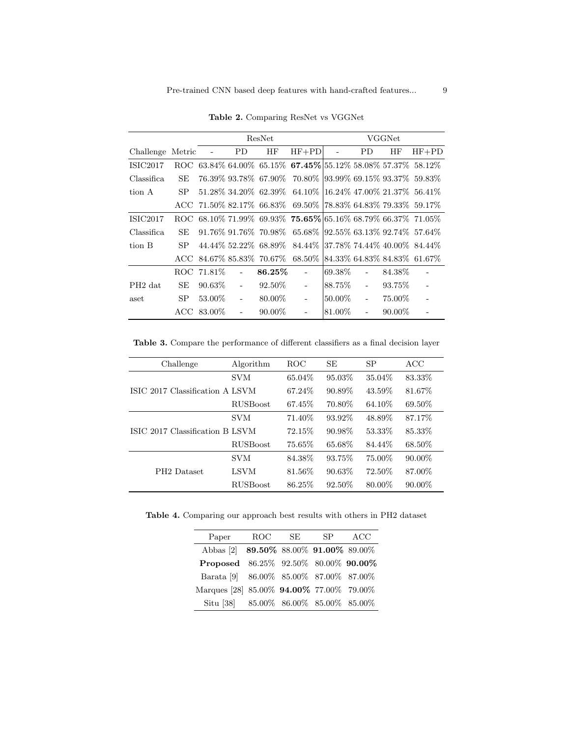|                     |        | ResNet      |                          |                                 | VGGNet                                                                           |         |                |           |                             |
|---------------------|--------|-------------|--------------------------|---------------------------------|----------------------------------------------------------------------------------|---------|----------------|-----------|-----------------------------|
| Challenge           | Metric |             | PD.                      | HF                              | $HF+PD$                                                                          |         | <b>PD</b>      | ΗF        | $HF+PD$                     |
| <b>ISIC2017</b>     |        |             |                          |                                 | ROC 63.84% 64.00% 65.15% 67.45% 55.12% 58.08% 57.37% 58.12%                      |         |                |           |                             |
| Classifica.         | SE.    |             |                          |                                 | $76.39\%$ $93.78\%$ $67.90\%$ $70.80\%$ $ 93.99\%$ $69.15\%$ $93.37\%$ $59.83\%$ |         |                |           |                             |
| tion A              | SP.    |             |                          |                                 | $51.28\%$ $34.20\%$ $62.39\%$ $64.10\%$ $16.24\%$ $47.00\%$ $21.37\%$ $56.41\%$  |         |                |           |                             |
|                     |        |             |                          |                                 | $\rm ACC$ 71.50% 82.17% 66.83% 69.50% 78.83% 64.83% 79.33% 59.17%                |         |                |           |                             |
| <b>ISIC2017</b>     |        |             |                          |                                 | ROC 68.10% 71.99% 69.93% 75.65% 65.16% 68.79% 66.37% 71.05%                      |         |                |           |                             |
| Classifica.         | SE     |             |                          |                                 | $91.76\%$ $91.76\%$ $70.98\%$ $65.68\%$ $92.55\%$ $63.13\%$ $92.74\%$ $57.64\%$  |         |                |           |                             |
| tion B              | SP.    |             |                          |                                 | 44.44\% 52.22\% 68.89\% 84.44\% 37.78\% 74.44\% 40.00\% 84.44\%                  |         |                |           |                             |
|                     |        |             |                          | ACC 84.67% 85.83% 70.67% 68.50% |                                                                                  |         |                |           | 84.33% 64.83% 84.83% 61.67% |
|                     |        | ROC 71.81\% |                          | 86.25\%                         |                                                                                  | 69.38\% |                | 84.38\%   |                             |
| PH <sub>2</sub> dat | SE     | $90.63\%$   | $\overline{\phantom{a}}$ | 92.50\%                         | $\blacksquare$                                                                   | 88.75%  | $\blacksquare$ | 93.75\%   |                             |
| aset                | SP.    | 53.00%      | $\overline{a}$           | 80.00%                          |                                                                                  | 50.00%  | $\bar{a}$      | 75.00%    |                             |
|                     | ACC    | 83.00%      | ÷,                       | $90.00\%$                       |                                                                                  | 81.00%  |                | $90.00\%$ |                             |

Table 2. Comparing ResNet vs VGGNet

Table 3. Compare the performance of different classifiers as a final decision layer

| Algorithm       | ROC                                                                | <b>SE</b> | <b>SP</b> | ACC       |
|-----------------|--------------------------------------------------------------------|-----------|-----------|-----------|
| <b>SVM</b>      | 65.04%                                                             | 95.03%    | 35.04\%   | 83.33%    |
|                 | 67.24\%                                                            | $90.89\%$ | 43.59%    | 81.67%    |
| <b>RUSBoost</b> | 67.45%                                                             | 70.80\%   | 64.10\%   | 69.50%    |
| <b>SVM</b>      | 71.40%                                                             | 93.92%    | 48.89%    | 87.17\%   |
|                 | 72.15%                                                             | 90.98%    | 53.33%    | 85.33%    |
| <b>RUSBoost</b> | 75.65%                                                             | 65.68%    | 84.44\%   | 68.50%    |
| <b>SVM</b>      | 84.38%                                                             | 93.75%    | 75.00%    | $90.00\%$ |
| LSVM            | 81.56%                                                             | 90.63%    | 72.50%    | 87.00%    |
| <b>RUSBoost</b> | 86.25%                                                             | 92.50%    | 80.00%    | $90.00\%$ |
|                 | ISIC 2017 Classification A LSVM<br>ISIC 2017 Classification B LSVM |           |           |           |

Table 4. Comparing our approach best results with others in PH2 dataset

| Paper                                    | ROC | SE | -SP - | ACC |
|------------------------------------------|-----|----|-------|-----|
| Abbas [2] 89.50% 88.00% 91.00% 89.00%    |     |    |       |     |
| Proposed 86.25% 92.50% 80.00% 90.00%     |     |    |       |     |
| Barata [9] 86.00% 85.00% 87.00% 87.00%   |     |    |       |     |
| Marques [28] 85.00% 94.00% 77.00% 79.00% |     |    |       |     |
| Situ [38] 85.00% 86.00% 85.00% 85.00%    |     |    |       |     |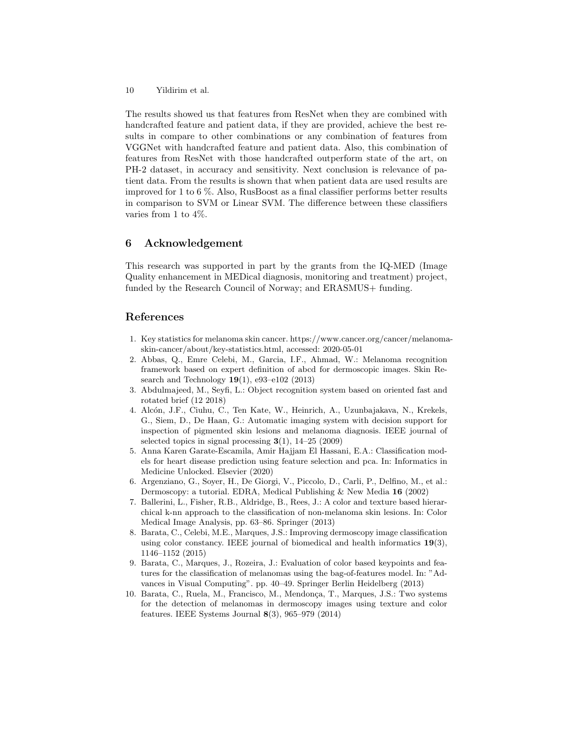The results showed us that features from ResNet when they are combined with handcrafted feature and patient data, if they are provided, achieve the best results in compare to other combinations or any combination of features from VGGNet with handcrafted feature and patient data. Also, this combination of features from ResNet with those handcrafted outperform state of the art, on PH-2 dataset, in accuracy and sensitivity. Next conclusion is relevance of patient data. From the results is shown that when patient data are used results are improved for 1 to 6 %. Also, RusBoost as a final classifier performs better results in comparison to SVM or Linear SVM. The difference between these classifiers varies from 1 to 4%.

## 6 Acknowledgement

This research was supported in part by the grants from the IQ-MED (Image Quality enhancement in MEDical diagnosis, monitoring and treatment) project, funded by the Research Council of Norway; and ERASMUS+ funding.

# References

- 1. Key statistics for melanoma skin cancer. https://www.cancer.org/cancer/melanomaskin-cancer/about/key-statistics.html, accessed: 2020-05-01
- 2. Abbas, Q., Emre Celebi, M., Garcia, I.F., Ahmad, W.: Melanoma recognition framework based on expert definition of abcd for dermoscopic images. Skin Research and Technology  $19(1)$ , e93–e102 (2013)
- 3. Abdulmajeed, M., Seyfi, L.: Object recognition system based on oriented fast and rotated brief (12 2018)
- 4. Alc´on, J.F., Ciuhu, C., Ten Kate, W., Heinrich, A., Uzunbajakava, N., Krekels, G., Siem, D., De Haan, G.: Automatic imaging system with decision support for inspection of pigmented skin lesions and melanoma diagnosis. IEEE journal of selected topics in signal processing  $3(1)$ ,  $14-25$  (2009)
- 5. Anna Karen Garate-Escamila, Amir Hajjam El Hassani, E.A.: Classification models for heart disease prediction using feature selection and pca. In: Informatics in Medicine Unlocked. Elsevier (2020)
- 6. Argenziano, G., Soyer, H., De Giorgi, V., Piccolo, D., Carli, P., Delfino, M., et al.: Dermoscopy: a tutorial. EDRA, Medical Publishing & New Media 16 (2002)
- 7. Ballerini, L., Fisher, R.B., Aldridge, B., Rees, J.: A color and texture based hierarchical k-nn approach to the classification of non-melanoma skin lesions. In: Color Medical Image Analysis, pp. 63–86. Springer (2013)
- 8. Barata, C., Celebi, M.E., Marques, J.S.: Improving dermoscopy image classification using color constancy. IEEE journal of biomedical and health informatics  $19(3)$ , 1146–1152 (2015)
- 9. Barata, C., Marques, J., Rozeira, J.: Evaluation of color based keypoints and features for the classification of melanomas using the bag-of-features model. In: "Advances in Visual Computing". pp. 40–49. Springer Berlin Heidelberg (2013)
- 10. Barata, C., Ruela, M., Francisco, M., Mendonça, T., Marques, J.S.: Two systems for the detection of melanomas in dermoscopy images using texture and color features. IEEE Systems Journal 8(3), 965–979 (2014)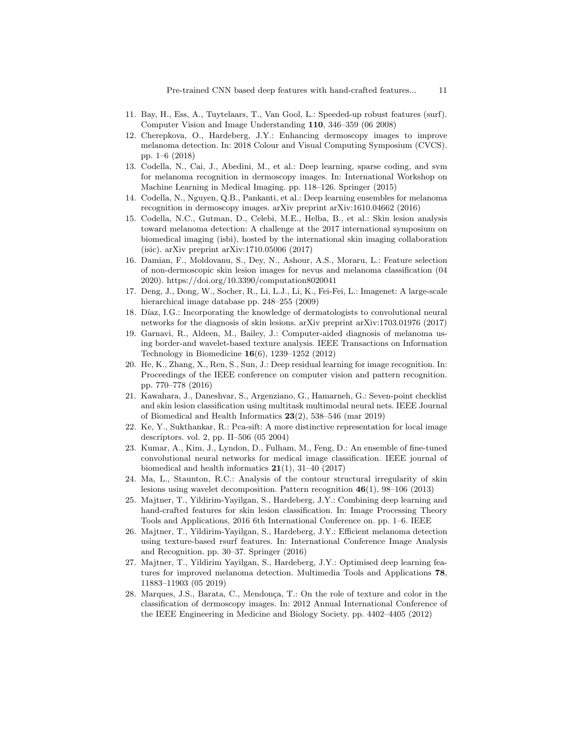- 11. Bay, H., Ess, A., Tuytelaars, T., Van Gool, L.: Speeded-up robust features (surf). Computer Vision and Image Understanding 110, 346–359 (06 2008)
- 12. Cherepkova, O., Hardeberg, J.Y.: Enhancing dermoscopy images to improve melanoma detection. In: 2018 Colour and Visual Computing Symposium (CVCS). pp. 1–6 (2018)
- 13. Codella, N., Cai, J., Abedini, M., et al.: Deep learning, sparse coding, and svm for melanoma recognition in dermoscopy images. In: International Workshop on Machine Learning in Medical Imaging. pp. 118–126. Springer (2015)
- 14. Codella, N., Nguyen, Q.B., Pankanti, et al.: Deep learning ensembles for melanoma recognition in dermoscopy images. arXiv preprint arXiv:1610.04662 (2016)
- 15. Codella, N.C., Gutman, D., Celebi, M.E., Helba, B., et al.: Skin lesion analysis toward melanoma detection: A challenge at the 2017 international symposium on biomedical imaging (isbi), hosted by the international skin imaging collaboration (isic). arXiv preprint arXiv:1710.05006 (2017)
- 16. Damian, F., Moldovanu, S., Dey, N., Ashour, A.S., Moraru, L.: Feature selection of non-dermoscopic skin lesion images for nevus and melanoma classification (04 2020). https://doi.org/10.3390/computation8020041
- 17. Deng, J., Dong, W., Socher, R., Li, L.J., Li, K., Fei-Fei, L.: Imagenet: A large-scale hierarchical image database pp. 248–255 (2009)
- 18. Díaz, I.G.: Incorporating the knowledge of dermatologists to convolutional neural networks for the diagnosis of skin lesions. arXiv preprint arXiv:1703.01976 (2017)
- 19. Garnavi, R., Aldeen, M., Bailey, J.: Computer-aided diagnosis of melanoma using border-and wavelet-based texture analysis. IEEE Transactions on Information Technology in Biomedicine 16(6), 1239–1252 (2012)
- 20. He, K., Zhang, X., Ren, S., Sun, J.: Deep residual learning for image recognition. In: Proceedings of the IEEE conference on computer vision and pattern recognition. pp. 770–778 (2016)
- 21. Kawahara, J., Daneshvar, S., Argenziano, G., Hamarneh, G.: Seven-point checklist and skin lesion classification using multitask multimodal neural nets. IEEE Journal of Biomedical and Health Informatics 23(2), 538–546 (mar 2019)
- 22. Ke, Y., Sukthankar, R.: Pca-sift: A more distinctive representation for local image descriptors. vol. 2, pp. II–506 (05 2004)
- 23. Kumar, A., Kim, J., Lyndon, D., Fulham, M., Feng, D.: An ensemble of fine-tuned convolutional neural networks for medical image classification. IEEE journal of biomedical and health informatics  $21(1)$ , 31–40 (2017)
- 24. Ma, L., Staunton, R.C.: Analysis of the contour structural irregularity of skin lesions using wavelet decomposition. Pattern recognition  $46(1)$ , 98–106 (2013)
- 25. Majtner, T., Yildirim-Yayilgan, S., Hardeberg, J.Y.: Combining deep learning and hand-crafted features for skin lesion classification. In: Image Processing Theory Tools and Applications, 2016 6th International Conference on. pp. 1–6. IEEE
- 26. Majtner, T., Yildirim-Yayilgan, S., Hardeberg, J.Y.: Efficient melanoma detection using texture-based rsurf features. In: International Conference Image Analysis and Recognition. pp. 30–37. Springer (2016)
- 27. Majtner, T., Yildirim Yayilgan, S., Hardeberg, J.Y.: Optimised deep learning features for improved melanoma detection. Multimedia Tools and Applications 78, 11883–11903 (05 2019)
- 28. Marques, J.S., Barata, C., Mendonça, T.: On the role of texture and color in the classification of dermoscopy images. In: 2012 Annual International Conference of the IEEE Engineering in Medicine and Biology Society. pp. 4402–4405 (2012)